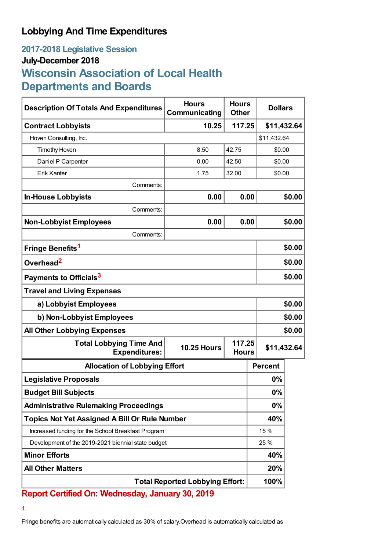## **Lobbying And Time Expenditures**

## **2017-2018 Legislative Session July-December 2018 Wisconsin Association of Local Health Departments and Boards**

| <b>Description Of Totals And Expenditures</b>          | <b>Hours</b><br>Communicating                | <b>Hours</b><br><b>Other</b> | <b>Dollars</b> |             |  |
|--------------------------------------------------------|----------------------------------------------|------------------------------|----------------|-------------|--|
| <b>Contract Lobbyists</b>                              | 10.25<br>117.25                              |                              |                | \$11,432.64 |  |
| Hoven Consulting, Inc.                                 |                                              |                              |                | \$11,432.64 |  |
| <b>Timothy Hoven</b>                                   | 8.50                                         | 42.75                        |                | \$0.00      |  |
| Daniel P Carpenter                                     | 0.00                                         | 42.50                        |                | \$0.00      |  |
| Erik Kanter                                            | 1.75                                         | 32.00                        | \$0.00         |             |  |
| Comments:                                              |                                              |                              |                |             |  |
| <b>In-House Lobbyists</b>                              | 0.00                                         | 0.00                         |                | \$0.00      |  |
| Comments:                                              |                                              |                              |                |             |  |
| <b>Non-Lobbyist Employees</b>                          | 0.00                                         | 0.00                         |                | \$0.00      |  |
| Comments:                                              |                                              |                              |                |             |  |
| Fringe Benefits <sup>1</sup>                           |                                              |                              |                | \$0.00      |  |
| Overhead <sup>2</sup>                                  |                                              |                              |                | \$0.00      |  |
| Payments to Officials <sup>3</sup>                     |                                              |                              |                | \$0.00      |  |
| <b>Travel and Living Expenses</b>                      |                                              |                              |                |             |  |
| a) Lobbyist Employees                                  |                                              |                              |                | \$0.00      |  |
| b) Non-Lobbyist Employees                              |                                              |                              |                | \$0.00      |  |
| <b>All Other Lobbying Expenses</b>                     |                                              |                              | \$0.00         |             |  |
| <b>Total Lobbying Time And</b><br><b>Expenditures:</b> | 117.25<br><b>10.25 Hours</b><br><b>Hours</b> |                              |                | \$11,432.64 |  |
| <b>Allocation of Lobbying Effort</b>                   |                                              |                              | <b>Percent</b> |             |  |
| <b>Legislative Proposals</b>                           |                                              |                              | 0%             |             |  |
| <b>Budget Bill Subjects</b>                            |                                              |                              | $0\%$          |             |  |
| <b>Administrative Rulemaking Proceedings</b>           |                                              |                              | 0%             |             |  |
| <b>Topics Not Yet Assigned A Bill Or Rule Number</b>   |                                              |                              | 40%            |             |  |
| Increased funding for the School Breakfast Program     |                                              |                              | 15 %           |             |  |
| Development of the 2019-2021 biennial state budget     |                                              |                              | 25 %           |             |  |
| <b>Minor Efforts</b>                                   |                                              | 40%                          |                |             |  |
| <b>All Other Matters</b>                               |                                              |                              | 20%            |             |  |
| <b>Total Reported Lobbying Effort:</b>                 |                                              |                              | 100%           |             |  |

**Report Certified On: Wednesday, January 30, 2019**